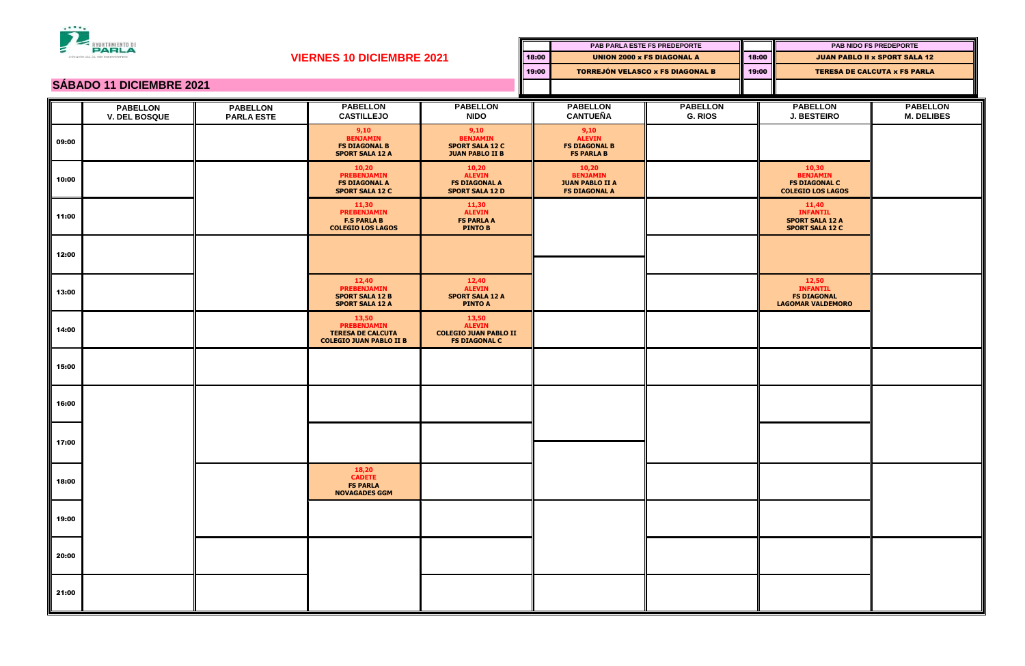

| PARLA<br>з<br>CONCEALIA DE OEPORTES |                                         |                                      |                                                                                           |                                                                                |       | <b>PAB PARLA ESTE FS PREDEPORTE</b>                                        |                                         |       | PAB NIDO FS PREDEPORTE                                                       |                                      |
|-------------------------------------|-----------------------------------------|--------------------------------------|-------------------------------------------------------------------------------------------|--------------------------------------------------------------------------------|-------|----------------------------------------------------------------------------|-----------------------------------------|-------|------------------------------------------------------------------------------|--------------------------------------|
|                                     |                                         |                                      | <b>VIERNES 10 DICIEMBRE 2021</b>                                                          |                                                                                | 18:00 | <b>UNION 2000 x FS DIAGONAL A</b>                                          |                                         | 18:00 |                                                                              | <b>JUAN PABLO II x SPORT SALA 12</b> |
|                                     |                                         |                                      |                                                                                           |                                                                                | 19:00 |                                                                            | <b>TORREJÓN VELASCO x FS DIAGONAL B</b> |       | <b>TERESA DE CALCUTA x FS PARLA</b>                                          |                                      |
| <b>SÁBADO 11 DICIEMBRE 2021</b>     |                                         |                                      |                                                                                           |                                                                                |       |                                                                            |                                         |       |                                                                              |                                      |
|                                     | <b>PABELLON</b><br><b>V. DEL BOSQUE</b> | <b>PABELLON</b><br><b>PARLA ESTE</b> | <b>PABELLON</b><br><b>CASTILLEJO</b>                                                      | <b>PABELLON</b><br><b>NIDO</b>                                                 |       | <b>PABELLON</b><br><b>CANTUEÑA</b>                                         | <b>PABELLON</b><br><b>G. RIOS</b>       |       | <b>PABELLON</b><br><b>J. BESTEIRO</b>                                        | <b>PABELLON</b><br><b>M. DELIBES</b> |
| 09:00                               |                                         |                                      | 9,10<br><b>BENJAMIN</b><br><b>FS DIAGONAL B</b><br><b>SPORT SALA 12 A</b>                 | 9,10<br><b>BENJAMIN</b><br><b>SPORT SALA 12 C</b><br><b>JUAN PABLO II B</b>    |       | 9,10<br><b>ALEVIN</b><br><b>FS DIAGONAL B</b><br><b>FS PARLA B</b>         |                                         |       |                                                                              |                                      |
| 10:00                               |                                         |                                      | 10,20<br><b>PREBENJAMIN</b><br><b>FS DIAGONAL A</b><br><b>SPORT SALA 12 C</b>             | 10,20<br><b>ALEVIN</b><br><b>FS DIAGONAL A</b><br><b>SPORT SALA 12 D</b>       |       | 10,20<br><b>BENJAMIN</b><br><b>JUAN PABLO II A</b><br><b>FS DIAGONAL A</b> |                                         |       | 10,30<br><b>BENJAMIN</b><br><b>FS DIAGONAL C</b><br><b>COLEGIO LOS LAGOS</b> |                                      |
| 11:00                               |                                         |                                      | 11,30<br><b>PREBENJAMIN</b><br><b>F.S PARLA B</b><br><b>COLEGIO LOS LAGOS</b>             | 11,30<br><b>ALEVIN</b><br><b>FS PARLA A</b><br><b>PINTO B</b>                  |       |                                                                            |                                         |       | 11,40<br><b>INFANTIL</b><br><b>SPORT SALA 12 A</b><br><b>SPORT SALA 12 C</b> |                                      |
| 12:00                               |                                         |                                      |                                                                                           |                                                                                |       |                                                                            |                                         |       |                                                                              |                                      |
| 13:00                               |                                         |                                      | 12,40<br><b>PREBENJAMIN</b><br><b>SPORT SALA 12 B</b><br><b>SPORT SALA 12 A</b>           | 12,40<br><b>ALEVIN</b><br><b>SPORT SALA 12 A</b><br><b>PINTO A</b>             |       |                                                                            |                                         |       | 12,50<br><b>INFANTIL</b><br><b>FS DIAGONAL</b><br><b>LAGOMAR VALDEMORO</b>   |                                      |
| 14:00                               |                                         |                                      | 13,50<br><b>PREBENJAMIN</b><br><b>TERESA DE CALCUTA</b><br><b>COLEGIO JUAN PABLO II B</b> | 13,50<br><b>ALEVIN</b><br><b>COLEGIO JUAN PABLO II</b><br><b>FS DIAGONAL C</b> |       |                                                                            |                                         |       |                                                                              |                                      |
| 15:00                               |                                         |                                      |                                                                                           |                                                                                |       |                                                                            |                                         |       |                                                                              |                                      |
| 16:00                               |                                         |                                      |                                                                                           |                                                                                |       |                                                                            |                                         |       |                                                                              |                                      |
| 17:00                               |                                         |                                      |                                                                                           |                                                                                |       |                                                                            |                                         |       |                                                                              |                                      |
| 18:00                               |                                         |                                      | 18,20<br><b>CADETE</b><br><b>FS PARLA</b><br><b>NOVAGADES GGM</b>                         |                                                                                |       |                                                                            |                                         |       |                                                                              |                                      |
| 19:00                               |                                         |                                      |                                                                                           |                                                                                |       |                                                                            |                                         |       |                                                                              |                                      |
| 20:00                               |                                         |                                      |                                                                                           |                                                                                |       |                                                                            |                                         |       |                                                                              |                                      |
| 21:00                               |                                         |                                      |                                                                                           |                                                                                |       |                                                                            |                                         |       |                                                                              |                                      |